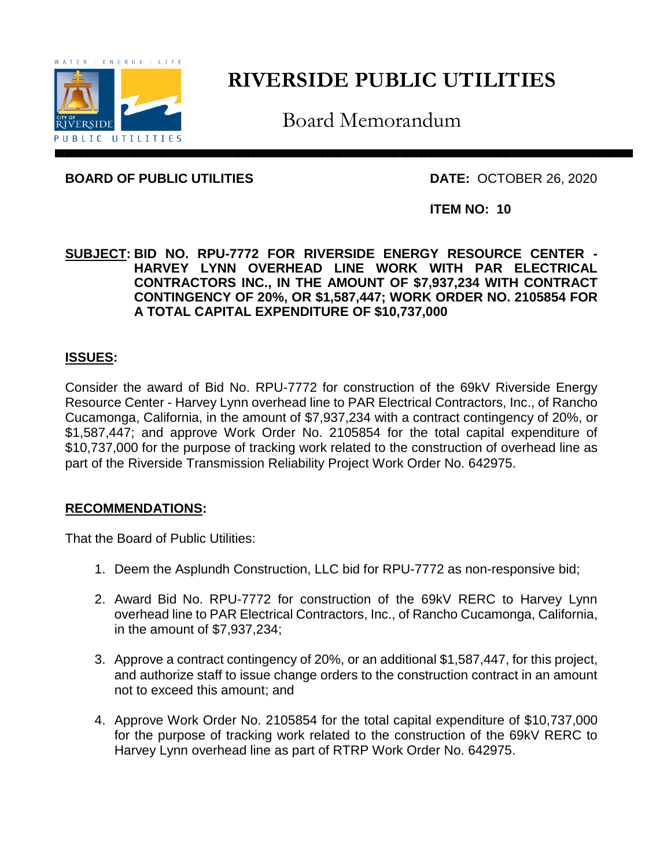

# **RIVERSIDE PUBLIC UTILITIES**

Board Memorandum

**BOARD OF PUBLIC UTILITIES DATE:** OCTOBER 26, 2020

**ITEM NO: 10**

**SUBJECT: BID NO. RPU-7772 FOR RIVERSIDE ENERGY RESOURCE CENTER - HARVEY LYNN OVERHEAD LINE WORK WITH PAR ELECTRICAL CONTRACTORS INC., IN THE AMOUNT OF \$7,937,234 WITH CONTRACT CONTINGENCY OF 20%, OR \$1,587,447; WORK ORDER NO. 2105854 FOR A TOTAL CAPITAL EXPENDITURE OF \$10,737,000**

## **ISSUES:**

Consider the award of Bid No. RPU-7772 for construction of the 69kV Riverside Energy Resource Center - Harvey Lynn overhead line to PAR Electrical Contractors, Inc., of Rancho Cucamonga, California, in the amount of \$7,937,234 with a contract contingency of 20%, or \$1,587,447; and approve Work Order No. 2105854 for the total capital expenditure of \$10,737,000 for the purpose of tracking work related to the construction of overhead line as part of the Riverside Transmission Reliability Project Work Order No. 642975.

## **RECOMMENDATIONS:**

That the Board of Public Utilities:

- 1. Deem the Asplundh Construction, LLC bid for RPU-7772 as non-responsive bid;
- 2. Award Bid No. RPU-7772 for construction of the 69kV RERC to Harvey Lynn overhead line to PAR Electrical Contractors, Inc., of Rancho Cucamonga, California, in the amount of \$7,937,234;
- 3. Approve a contract contingency of 20%, or an additional \$1,587,447, for this project, and authorize staff to issue change orders to the construction contract in an amount not to exceed this amount; and
- 4. Approve Work Order No. 2105854 for the total capital expenditure of \$10,737,000 for the purpose of tracking work related to the construction of the 69kV RERC to Harvey Lynn overhead line as part of RTRP Work Order No. 642975.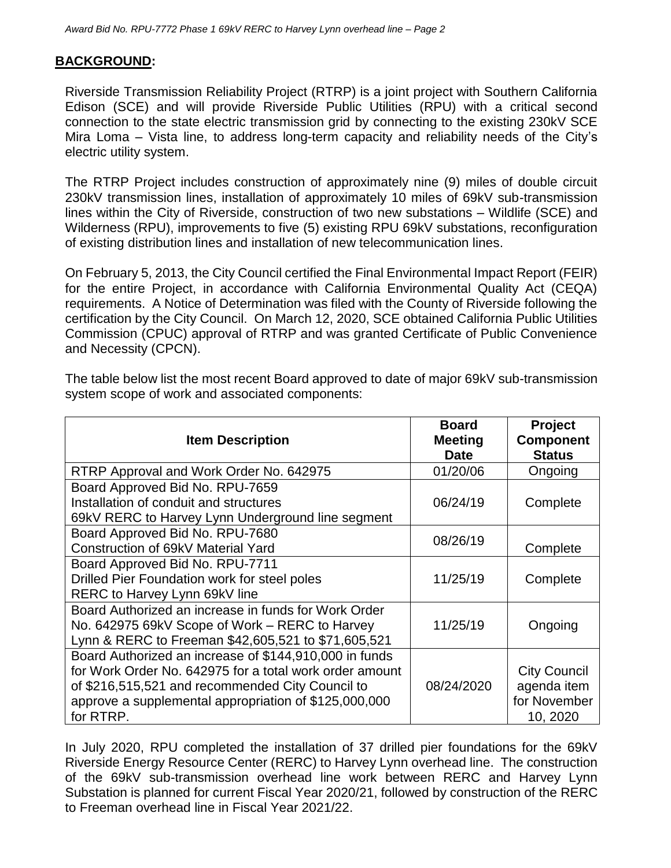### **BACKGROUND:**

Riverside Transmission Reliability Project (RTRP) is a joint project with Southern California Edison (SCE) and will provide Riverside Public Utilities (RPU) with a critical second connection to the state electric transmission grid by connecting to the existing 230kV SCE Mira Loma – Vista line, to address long-term capacity and reliability needs of the City's electric utility system.

The RTRP Project includes construction of approximately nine (9) miles of double circuit 230kV transmission lines, installation of approximately 10 miles of 69kV sub-transmission lines within the City of Riverside, construction of two new substations – Wildlife (SCE) and Wilderness (RPU), improvements to five (5) existing RPU 69kV substations, reconfiguration of existing distribution lines and installation of new telecommunication lines.

On February 5, 2013, the City Council certified the Final Environmental Impact Report (FEIR) for the entire Project, in accordance with California Environmental Quality Act (CEQA) requirements. A Notice of Determination was filed with the County of Riverside following the certification by the City Council. On March 12, 2020, SCE obtained California Public Utilities Commission (CPUC) approval of RTRP and was granted Certificate of Public Convenience and Necessity (CPCN).

| The table below list the most recent Board approved to date of major 69kV sub-transmission |
|--------------------------------------------------------------------------------------------|
| system scope of work and associated components:                                            |
|                                                                                            |

| <b>Item Description</b>                                 | <b>Board</b><br><b>Meeting</b><br><b>Date</b> | <b>Project</b><br><b>Component</b><br><b>Status</b> |
|---------------------------------------------------------|-----------------------------------------------|-----------------------------------------------------|
| RTRP Approval and Work Order No. 642975                 | 01/20/06                                      | Ongoing                                             |
| Board Approved Bid No. RPU-7659                         |                                               |                                                     |
| Installation of conduit and structures                  | 06/24/19                                      | Complete                                            |
| 69kV RERC to Harvey Lynn Underground line segment       |                                               |                                                     |
| Board Approved Bid No. RPU-7680                         | 08/26/19                                      |                                                     |
| Construction of 69kV Material Yard                      |                                               | Complete                                            |
| Board Approved Bid No. RPU-7711                         |                                               |                                                     |
| Drilled Pier Foundation work for steel poles            | 11/25/19                                      | Complete                                            |
| RERC to Harvey Lynn 69kV line                           |                                               |                                                     |
| Board Authorized an increase in funds for Work Order    |                                               |                                                     |
| No. 642975 69kV Scope of Work – RERC to Harvey          | 11/25/19                                      | Ongoing                                             |
| Lynn & RERC to Freeman \$42,605,521 to \$71,605,521     |                                               |                                                     |
| Board Authorized an increase of \$144,910,000 in funds  |                                               |                                                     |
| for Work Order No. 642975 for a total work order amount |                                               | <b>City Council</b>                                 |
| of \$216,515,521 and recommended City Council to        | 08/24/2020                                    | agenda item                                         |
| approve a supplemental appropriation of \$125,000,000   |                                               | for November                                        |
| for RTRP.                                               |                                               | 10, 2020                                            |

In July 2020, RPU completed the installation of 37 drilled pier foundations for the 69kV Riverside Energy Resource Center (RERC) to Harvey Lynn overhead line. The construction of the 69kV sub-transmission overhead line work between RERC and Harvey Lynn Substation is planned for current Fiscal Year 2020/21, followed by construction of the RERC to Freeman overhead line in Fiscal Year 2021/22.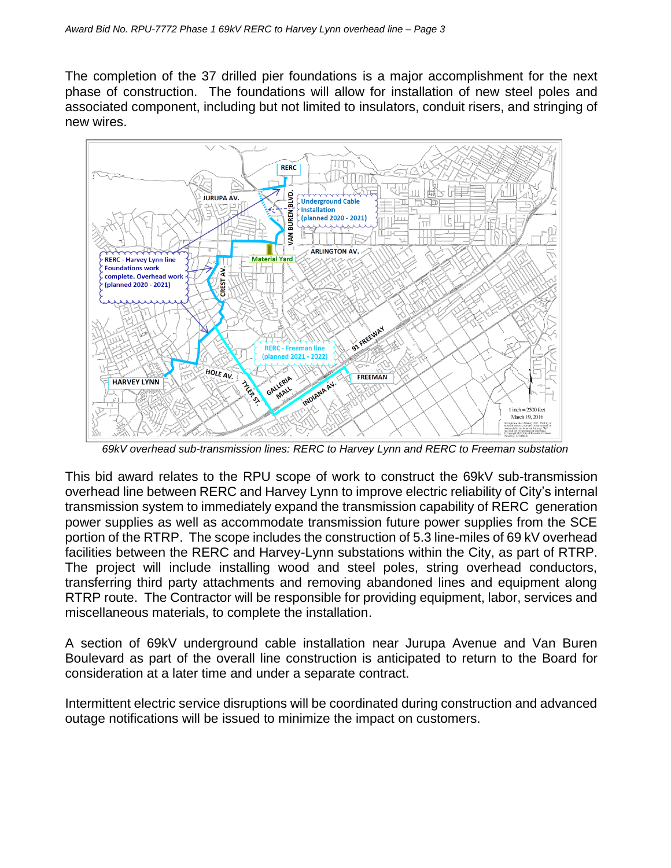The completion of the 37 drilled pier foundations is a major accomplishment for the next phase of construction. The foundations will allow for installation of new steel poles and associated component, including but not limited to insulators, conduit risers, and stringing of new wires.



*69kV overhead sub-transmission lines: RERC to Harvey Lynn and RERC to Freeman substation*

This bid award relates to the RPU scope of work to construct the 69kV sub-transmission overhead line between RERC and Harvey Lynn to improve electric reliability of City's internal transmission system to immediately expand the transmission capability of RERC generation power supplies as well as accommodate transmission future power supplies from the SCE portion of the RTRP. The scope includes the construction of 5.3 line-miles of 69 kV overhead facilities between the RERC and Harvey-Lynn substations within the City, as part of RTRP. The project will include installing wood and steel poles, string overhead conductors, transferring third party attachments and removing abandoned lines and equipment along RTRP route. The Contractor will be responsible for providing equipment, labor, services and miscellaneous materials, to complete the installation.

A section of 69kV underground cable installation near Jurupa Avenue and Van Buren Boulevard as part of the overall line construction is anticipated to return to the Board for consideration at a later time and under a separate contract.

Intermittent electric service disruptions will be coordinated during construction and advanced outage notifications will be issued to minimize the impact on customers.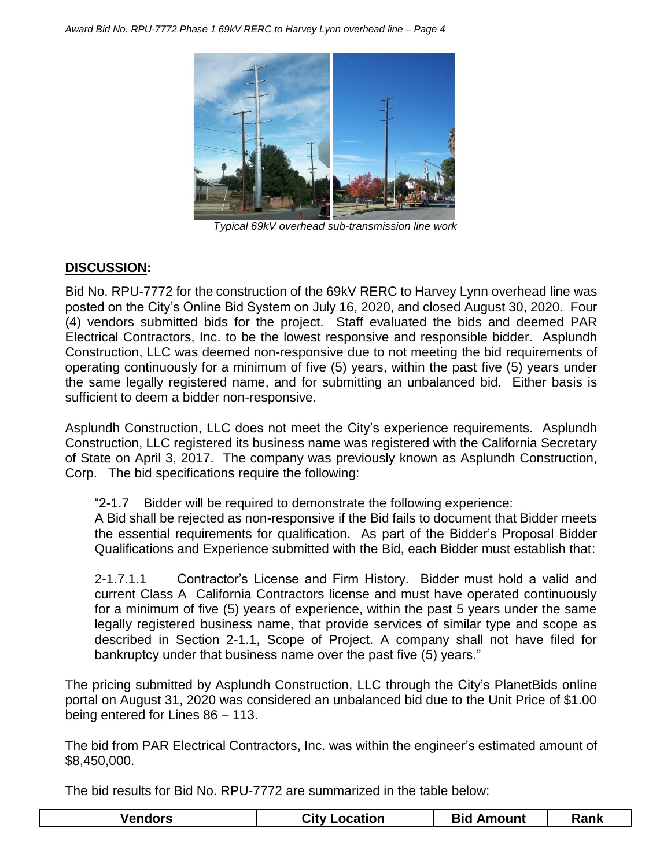

*Typical 69kV overhead sub-transmission line work*

## **DISCUSSION:**

Bid No. RPU-7772 for the construction of the 69kV RERC to Harvey Lynn overhead line was posted on the City's Online Bid System on July 16, 2020, and closed August 30, 2020. Four (4) vendors submitted bids for the project. Staff evaluated the bids and deemed PAR Electrical Contractors, Inc. to be the lowest responsive and responsible bidder. Asplundh Construction, LLC was deemed non-responsive due to not meeting the bid requirements of operating continuously for a minimum of five (5) years, within the past five (5) years under the same legally registered name, and for submitting an unbalanced bid. Either basis is sufficient to deem a bidder non-responsive.

Asplundh Construction, LLC does not meet the City's experience requirements. Asplundh Construction, LLC registered its business name was registered with the California Secretary of State on April 3, 2017. The company was previously known as Asplundh Construction, Corp. The bid specifications require the following:

"2-1.7 Bidder will be required to demonstrate the following experience:

A Bid shall be rejected as non-responsive if the Bid fails to document that Bidder meets the essential requirements for qualification. As part of the Bidder's Proposal Bidder Qualifications and Experience submitted with the Bid, each Bidder must establish that:

2-1.7.1.1 Contractor's License and Firm History. Bidder must hold a valid and current Class A California Contractors license and must have operated continuously for a minimum of five (5) years of experience, within the past 5 years under the same legally registered business name, that provide services of similar type and scope as described in Section 2-1.1, Scope of Project. A company shall not have filed for bankruptcy under that business name over the past five (5) years."

The pricing submitted by Asplundh Construction, LLC through the City's PlanetBids online portal on August 31, 2020 was considered an unbalanced bid due to the Unit Price of \$1.00 being entered for Lines 86 – 113.

The bid from PAR Electrical Contractors, Inc. was within the engineer's estimated amount of \$8,450,000.

The bid results for Bid No. RPU-7772 are summarized in the table below:

|  | Vendors | <b>City Location</b> | <b>Bid Amount</b> | Rank |
|--|---------|----------------------|-------------------|------|
|--|---------|----------------------|-------------------|------|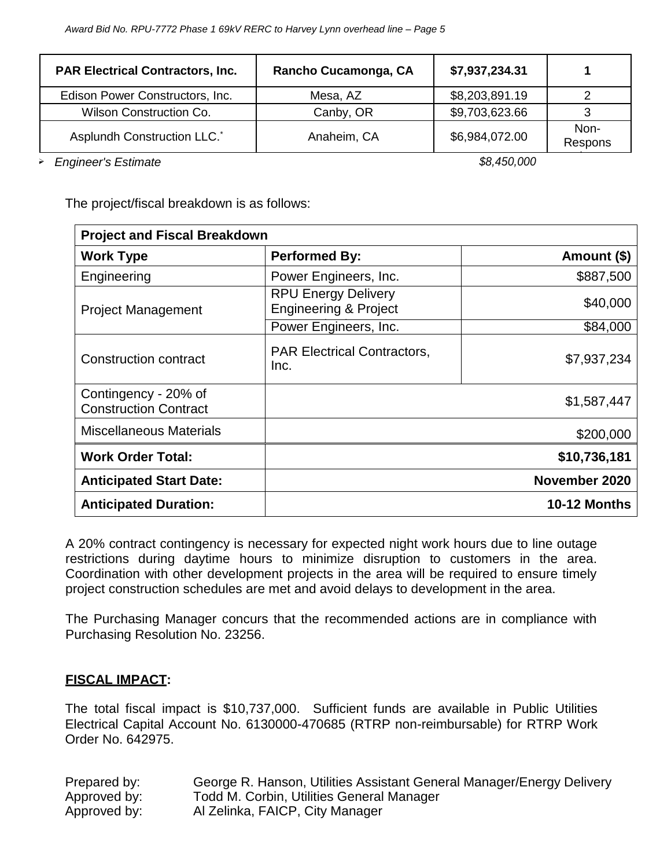| <b>PAR Electrical Contractors, Inc.</b> | Rancho Cucamonga, CA | \$7,937,234.31 |                 |
|-----------------------------------------|----------------------|----------------|-----------------|
| Edison Power Constructors, Inc.         | Mesa, AZ             | \$8,203,891.19 |                 |
| <b>Wilson Construction Co.</b>          | Canby, OR            | \$9,703,623.66 |                 |
| Asplundh Construction LLC. <sup>*</sup> | Anaheim, CA          | \$6,984,072.00 | Non-<br>Respons |

ive *Engineer's Estimate \$8,450,000*

The project/fiscal breakdown is as follows:

| <b>Project and Fiscal Breakdown</b>                  |                                                                |                     |
|------------------------------------------------------|----------------------------------------------------------------|---------------------|
| <b>Work Type</b>                                     | <b>Performed By:</b>                                           | Amount (\$)         |
| Engineering                                          | Power Engineers, Inc.                                          | \$887,500           |
| <b>Project Management</b>                            | <b>RPU Energy Delivery</b><br><b>Engineering &amp; Project</b> | \$40,000            |
|                                                      | Power Engineers, Inc.                                          | \$84,000            |
| <b>Construction contract</b>                         | <b>PAR Electrical Contractors,</b><br>Inc.                     | \$7,937,234         |
| Contingency - 20% of<br><b>Construction Contract</b> |                                                                | \$1,587,447         |
| <b>Miscellaneous Materials</b>                       |                                                                | \$200,000           |
| <b>Work Order Total:</b>                             |                                                                | \$10,736,181        |
| <b>Anticipated Start Date:</b>                       |                                                                | November 2020       |
| <b>Anticipated Duration:</b>                         |                                                                | <b>10-12 Months</b> |

A 20% contract contingency is necessary for expected night work hours due to line outage restrictions during daytime hours to minimize disruption to customers in the area. Coordination with other development projects in the area will be required to ensure timely project construction schedules are met and avoid delays to development in the area.

The Purchasing Manager concurs that the recommended actions are in compliance with Purchasing Resolution No. 23256.

#### **FISCAL IMPACT:**

The total fiscal impact is \$10,737,000. Sufficient funds are available in Public Utilities Electrical Capital Account No. 6130000-470685 (RTRP non-reimbursable) for RTRP Work Order No. 642975.

| Prepared by: | George R. Hanson, Utilities Assistant General Manager/Energy Delivery |
|--------------|-----------------------------------------------------------------------|
| Approved by: | Todd M. Corbin, Utilities General Manager                             |
| Approved by: | Al Zelinka, FAICP, City Manager                                       |